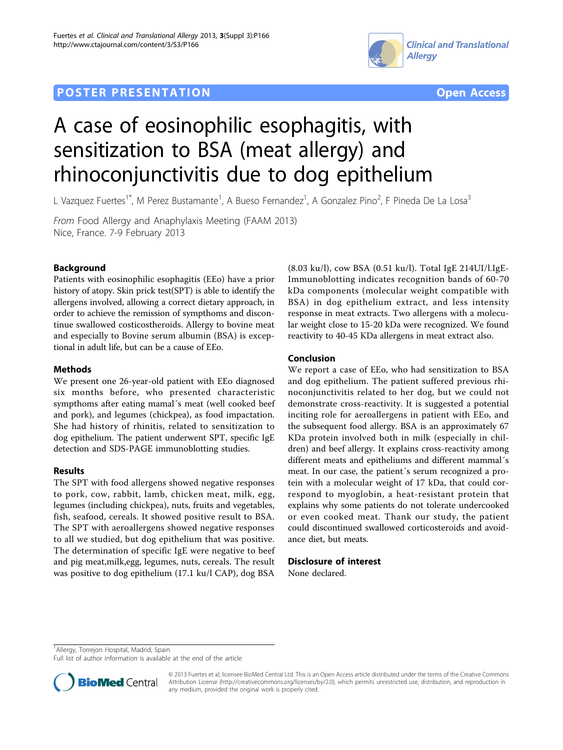# **POSTER PRESENTATION CONSUMING THE SERVICE SERVICE SERVICE SERVICES**





# A case of eosinophilic esophagitis, with sensitization to BSA (meat allergy) and rhinoconjunctivitis due to dog epithelium

L Vazquez Fuertes<sup>1\*</sup>, M Perez Bustamante<sup>1</sup>, A Bueso Fernandez<sup>1</sup>, A Gonzalez Pino<sup>2</sup>, F Pineda De La Losa<sup>3</sup>

From Food Allergy and Anaphylaxis Meeting (FAAM 2013) Nice, France. 7-9 February 2013

# Background

Patients with eosinophilic esophagitis (EEo) have a prior history of atopy. Skin prick test(SPT) is able to identify the allergens involved, allowing a correct dietary approach, in order to achieve the remission of sympthoms and discontinue swallowed costicostheroids. Allergy to bovine meat and especially to Bovine serum albumin (BSA) is exceptional in adult life, but can be a cause of EEo.

## Methods

We present one 26-year-old patient with EEo diagnosed six months before, who presented characteristic sympthoms after eating mamal´s meat (well cooked beef and pork), and legumes (chickpea), as food impactation. She had history of rhinitis, related to sensitization to dog epithelium. The patient underwent SPT, specific IgE detection and SDS-PAGE immunoblotting studies.

## Results

The SPT with food allergens showed negative responses to pork, cow, rabbit, lamb, chicken meat, milk, egg, legumes (including chickpea), nuts, fruits and vegetables, fish, seafood, cereals. It showed positive result to BSA. The SPT with aeroallergens showed negative responses to all we studied, but dog epithelium that was positive. The determination of specific IgE were negative to beef and pig meat,milk,egg, legumes, nuts, cereals. The result was positive to dog epithelium (17.1 ku/l CAP), dog BSA

(8.03 ku/l), cow BSA (0.51 ku/l). Total IgE 214UI/l.IgE-Immunoblotting indicates recognition bands of 60-70 kDa components (molecular weight compatible with BSA) in dog epithelium extract, and less intensity response in meat extracts. Two allergens with a molecular weight close to 15-20 kDa were recognized. We found reactivity to 40-45 KDa allergens in meat extract also.

## Conclusion

We report a case of EEo, who had sensitization to BSA and dog epithelium. The patient suffered previous rhinoconjunctivitis related to her dog, but we could not demonstrate cross-reactivity. It is suggested a potential inciting role for aeroallergens in patient with EEo, and the subsequent food allergy. BSA is an approximately 67 KDa protein involved both in milk (especially in children) and beef allergy. It explains cross-reactivity among different meats and epitheliums and different mammal´s meat. In our case, the patient´s serum recognized a protein with a molecular weight of 17 kDa, that could correspond to myoglobin, a heat-resistant protein that explains why some patients do not tolerate undercooked or even cooked meat. Thank our study, the patient could discontinued swallowed corticosteroids and avoidance diet, but meats.

#### Disclosure of interest

None declared.

<sup>1</sup> Allergy, Torrejon Hospital, Madrid, Spain

Full list of author information is available at the end of the article



© 2013 Fuertes et al; licensee BioMed Central Ltd. This is an Open Access article distributed under the terms of the Creative Commons Attribution License [\(http://creativecommons.org/licenses/by/2.0](http://creativecommons.org/licenses/by/2.0)), which permits unrestricted use, distribution, and reproduction in any medium, provided the original work is properly cited.